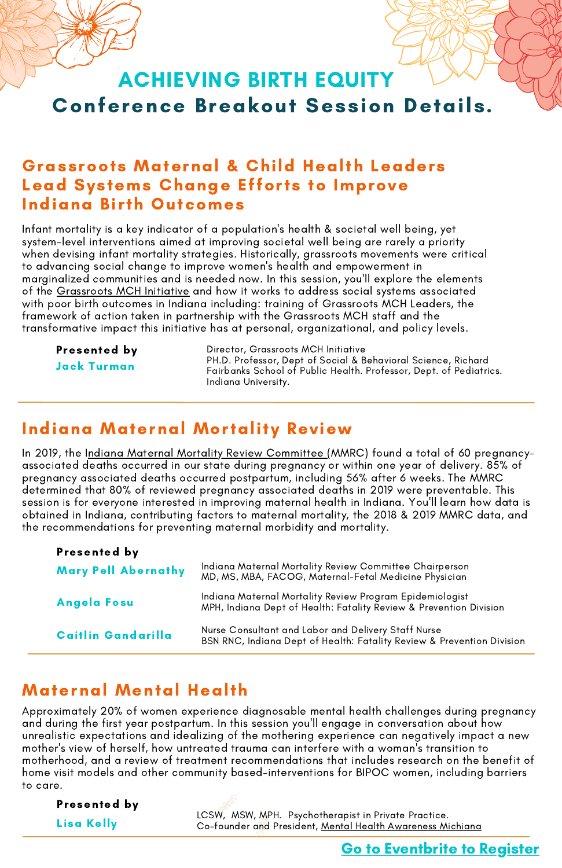# Conference Breakout Session Details. ACHIEVING BIRTH EQUITY

### Grassroots Maternal & Child Health Leaders Lead Systems Change Efforts to Improve Indiana Birth Outcomes

Infant mortality is a key indicator of a population's health & societal well being, yet system-level interventions aimed at improving societal well being are rarely a priority when devising infant mortality strategies. Historically, grassroots movements were critical to advancing social change to improve women's health and empowerment in marginalized communities and is needed now. In this session, you'll explore the elements of the [Grassroots](https://fsph.iupui.edu/research-centers/centers/cheer/grassroots/index.html) MCH Initiative and how it works to address social systems associated with poor birth outcomes in Indiana including: training of Grassroots MCH Leaders, the framework of action taken in partnership with the Grassroots MCH staff and the transformative impact this initiative has at personal, organizational, and policy levels.

Presented by

Jack Turman

Director, Grassroots MCH Initiative PH.D. Professor, Dept of Social & Behavioral Science, Richard Fairbanks School of Public Health. Professor, Dept. of Pediatrics. Indiana University.

## Indiana Maternal Mortality Review

In 2019, the Indiana Maternal Mortality Review [Committee](https://www.in.gov/health/cfr/maternal-mortality-review-committee/) (MMRC) found a total of 60 pregnancyassociated deaths occurred in our state during pregnancy or within one year of delivery. 85% of pregnancy associated deaths occurred postpartum, including 56% after 6 weeks. The MMRC determined that 80% of reviewed pregnancy associated deaths in 2019 were preventable. This session is for everyone interested in improving maternal health in Indiana. You'll learn how data is obtained in Indiana, contributing factors to maternal mortality, the 2018 & 2019 MMRC data, and the recommendations for preventing maternal morbidity and mortality.

| Presented by               |                                                                                                                                |
|----------------------------|--------------------------------------------------------------------------------------------------------------------------------|
| <b>Mary Pell Abernathy</b> | Indiana Maternal Mortality Review Committee Chairperson<br>MD, MS, MBA, FACOG, Maternal-Fetal Medicine Physician               |
| Angela Fosu                | Indiana Maternal Mortality Review Program Epidemiologist<br>MPH, Indiana Dept of Health: Fatality Review & Prevention Division |
| Caitlin Gandarilla         | Nurse Consultant and Labor and Delivery Staff Nurse<br>BSN RNC, Indiana Dept of Health: Fatality Review & Prevention Division  |

# Maternal Mental Health

Approximately 20% of women experience diagnosable mental health challenges during pregnancy and during the first year postpartum. In this session you'll engage in conversation about how unrealistic expectations and idealizing of the mothering experience can negatively impact a new mother's view of herself, how untreated trauma can interfere with a woman's transition to motherhood, and a review of treatment recommendations that includes research on the benefit of home visit models and other community based-interventions for BIPOC women, including barriers to care.

St. Joseph County, Indiana

Presented by Lisa Kelly

LCSW, MSW, MPH. Psychotherapist in Private Practice. Loom, Ment, Minited Political product in the Collection Co-founder and President, <u>Mental Health [Awareness](https://mhamichiana.org/) Michiana</u>

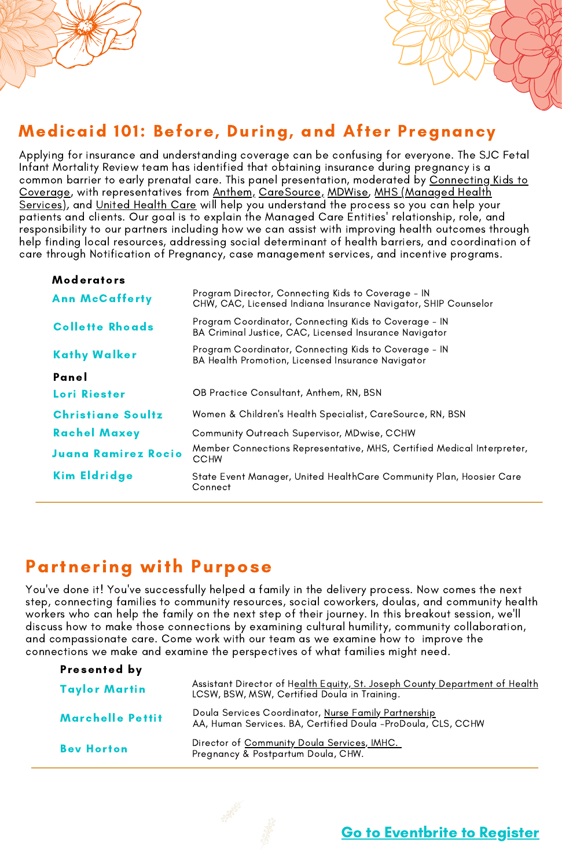

# Medicaid 101: Before, During, and After Pregnancy

Applying for insurance and understanding coverage can be confusing for everyone. The SJC Fetal Infant Mortality Review team has identified that obtaining insurance during pregnancy is a common barrier to early prenatal care. This panel presentation, moderated by Connecting Kids to Coverage, with [representatives](https://www.mhsindiana.com/members/medicaid/benefits-services/pregnancy.html) from [Anthem,](https://mss.anthem.com/in/care/health-wellness/pregnancy-and-womens-health.html) [CareSource,](https://www.caresource.com/in/members/education/pregnancy/medicaid/) [MDWise,](https://www.mdwise.org/for-members/member-handbook/plans/pregnancy-plans) MHS (Managed Health Services), and [United](https://www.uhc.com/health-insurance-plans/indiana) Health Care will help you understand the process so you can help your patients and clients. Our goal is to explain the Managed Care Entities' relationship, role, and responsibility to our partners including how we can assist with improving health outcomes through help finding local resources, addressing social determinant of health barriers, and coordination of care through Notification of Pregnancy, case management services, and incentive programs.

| <b>Moderators</b>          |                                                                                                                      |
|----------------------------|----------------------------------------------------------------------------------------------------------------------|
| <b>Ann McCafferty</b>      | Program Director, Connecting Kids to Coverage - IN<br>CHW, CAC, Licensed Indiana Insurance Navigator, SHIP Counselor |
| <b>Collette Rhoads</b>     | Program Coordinator, Connecting Kids to Coverage - IN<br>BA Criminal Justice, CAC, Licensed Insurance Navigator      |
| <b>Kathy Walker</b>        | Program Coordinator, Connecting Kids to Coverage - IN<br>BA Health Promotion, Licensed Insurance Navigator           |
| Panel                      |                                                                                                                      |
| <b>Lori Riester</b>        | OB Practice Consultant, Anthem, RN, BSN                                                                              |
| <b>Christiane Soultz</b>   | Women & Children's Health Specialist, CareSource, RN, BSN                                                            |
| <b>Rachel Maxey</b>        | <b>Community Outreach Supervisor, MDwise, CCHW</b>                                                                   |
| <b>Juana Ramirez Rocio</b> | Member Connections Representative, MHS, Certified Medical Interpreter,<br><b>CCHW</b>                                |
| Kim Eldridge               | State Event Manager, United HealthCare Community Plan, Hoosier Care<br>Connect                                       |
|                            |                                                                                                                      |

# Partnering with Purpose

You've done it! You've successfully helped a family in the delivery process. Now comes the next step, connecting families to community resources, social coworkers, doulas, and community health workers who can help the family on the next step of their journey. In this breakout session, we'll discuss how to make those connections by examining cultural humility, community collaboration, and compassionate care. Come work with our team as we examine how to improve the connections we make and examine the perspectives of what families might need.

| Presented by         |                                                                                                                             |
|----------------------|-----------------------------------------------------------------------------------------------------------------------------|
| <b>Taylor Martin</b> | Assistant Director of Health Equity, St. Joseph County Department of Health<br>LCSW, BSW, MSW, Certified Doula in Training. |
| Marchelle Pettit     | Doula Services Coordinator, Nurse Family Partnership<br>AA, Human Services. BA, Certified Doula -ProDoula, CLS, CCHW        |
| <b>Bev Horton</b>    | Director of Community Doula Services, IMHC.<br>Pregnancy & Postpartum Doula, CHW.                                           |